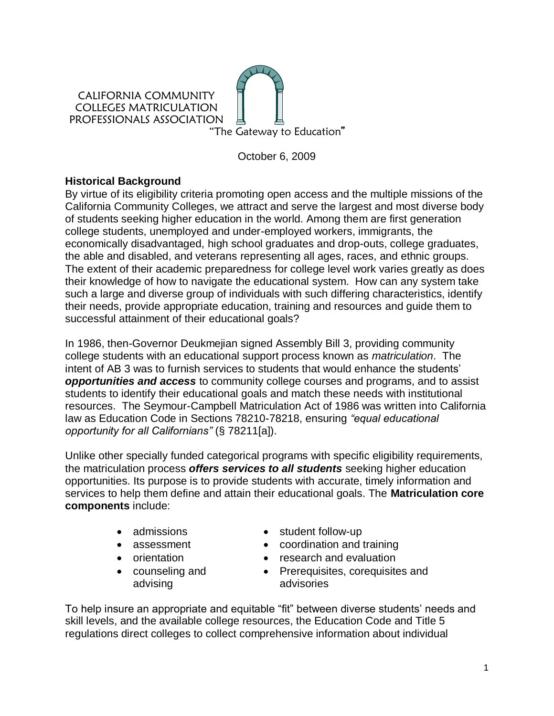

October 6, 2009

# **Historical Background**

By virtue of its eligibility criteria promoting open access and the multiple missions of the California Community Colleges, we attract and serve the largest and most diverse body of students seeking higher education in the world. Among them are first generation college students, unemployed and under-employed workers, immigrants, the economically disadvantaged, high school graduates and drop-outs, college graduates, the able and disabled, and veterans representing all ages, races, and ethnic groups. The extent of their academic preparedness for college level work varies greatly as does their knowledge of how to navigate the educational system. How can any system take such a large and diverse group of individuals with such differing characteristics, identify their needs, provide appropriate education, training and resources and guide them to successful attainment of their educational goals?

In 1986, then-Governor Deukmejian signed Assembly Bill 3, providing community college students with an educational support process known as *matriculation*. The intent of AB 3 was to furnish services to students that would enhance the students' *opportunities and access* to community college courses and programs, and to assist students to identify their educational goals and match these needs with institutional resources. The Seymour-Campbell Matriculation Act of 1986 was written into California law as Education Code in Sections 78210-78218, ensuring *"equal educational opportunity for all Californians"* (§ 78211[a]).

Unlike other specially funded categorical programs with specific eligibility requirements, the matriculation process *offers services to all students* seeking higher education opportunities. Its purpose is to provide students with accurate, timely information and services to help them define and attain their educational goals. The **Matriculation core components** include:

- 
- 
- 
- counseling and advising
- admissions student follow-up
- assessment coordination and training
- orientation **•** research and evaluation
	- Prerequisites, corequisites and advisories

To help insure an appropriate and equitable "fit" between diverse students' needs and skill levels, and the available college resources, the Education Code and Title 5 regulations direct colleges to collect comprehensive information about individual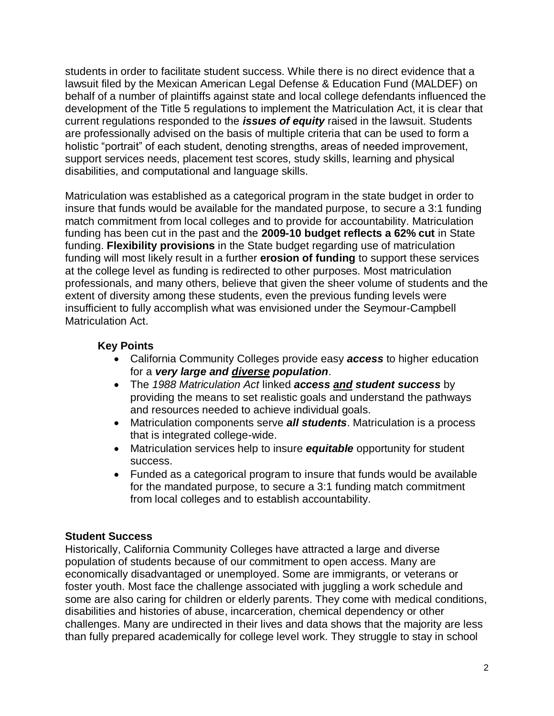students in order to facilitate student success. While there is no direct evidence that a lawsuit filed by the Mexican American Legal Defense & Education Fund (MALDEF) on behalf of a number of plaintiffs against state and local college defendants influenced the development of the Title 5 regulations to implement the Matriculation Act, it is clear that current regulations responded to the *issues of equity* raised in the lawsuit. Students are professionally advised on the basis of multiple criteria that can be used to form a holistic "portrait" of each student, denoting strengths, areas of needed improvement, support services needs, placement test scores, study skills, learning and physical disabilities, and computational and language skills.

Matriculation was established as a categorical program in the state budget in order to insure that funds would be available for the mandated purpose, to secure a 3:1 funding match commitment from local colleges and to provide for accountability. Matriculation funding has been cut in the past and the **2009-10 budget reflects a 62% cut** in State funding. **Flexibility provisions** in the State budget regarding use of matriculation funding will most likely result in a further **erosion of funding** to support these services at the college level as funding is redirected to other purposes. Most matriculation professionals, and many others, believe that given the sheer volume of students and the extent of diversity among these students, even the previous funding levels were insufficient to fully accomplish what was envisioned under the Seymour-Campbell Matriculation Act.

# **Key Points**

- California Community Colleges provide easy *access* to higher education for a *very large and diverse population*.
- The *1988 Matriculation Act* linked *access and student success* by providing the means to set realistic goals and understand the pathways and resources needed to achieve individual goals.
- Matriculation components serve *all students*. Matriculation is a process that is integrated college-wide.
- Matriculation services help to insure *equitable* opportunity for student success.
- Funded as a categorical program to insure that funds would be available for the mandated purpose, to secure a 3:1 funding match commitment from local colleges and to establish accountability.

# **Student Success**

Historically, California Community Colleges have attracted a large and diverse population of students because of our commitment to open access. Many are economically disadvantaged or unemployed. Some are immigrants, or veterans or foster youth. Most face the challenge associated with juggling a work schedule and some are also caring for children or elderly parents. They come with medical conditions, disabilities and histories of abuse, incarceration, chemical dependency or other challenges. Many are undirected in their lives and data shows that the majority are less than fully prepared academically for college level work. They struggle to stay in school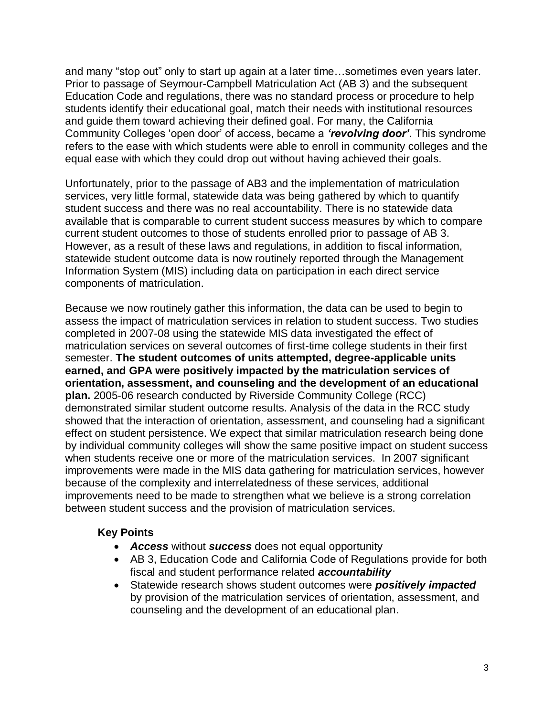and many "stop out" only to start up again at a later time…sometimes even years later. Prior to passage of Seymour-Campbell Matriculation Act (AB 3) and the subsequent Education Code and regulations, there was no standard process or procedure to help students identify their educational goal, match their needs with institutional resources and guide them toward achieving their defined goal. For many, the California Community Colleges 'open door' of access, became a *'revolving door'*. This syndrome refers to the ease with which students were able to enroll in community colleges and the equal ease with which they could drop out without having achieved their goals.

Unfortunately, prior to the passage of AB3 and the implementation of matriculation services, very little formal, statewide data was being gathered by which to quantify student success and there was no real accountability. There is no statewide data available that is comparable to current student success measures by which to compare current student outcomes to those of students enrolled prior to passage of AB 3. However, as a result of these laws and regulations, in addition to fiscal information, statewide student outcome data is now routinely reported through the Management Information System (MIS) including data on participation in each direct service components of matriculation.

Because we now routinely gather this information, the data can be used to begin to assess the impact of matriculation services in relation to student success. Two studies completed in 2007-08 using the statewide MIS data investigated the effect of matriculation services on several outcomes of first-time college students in their first semester. **The student outcomes of units attempted, degree-applicable units earned, and GPA were positively impacted by the matriculation services of orientation, assessment, and counseling and the development of an educational plan.** 2005-06 research conducted by Riverside Community College (RCC) demonstrated similar student outcome results. Analysis of the data in the RCC study showed that the interaction of orientation, assessment, and counseling had a significant effect on student persistence. We expect that similar matriculation research being done by individual community colleges will show the same positive impact on student success when students receive one or more of the matriculation services. In 2007 significant improvements were made in the MIS data gathering for matriculation services, however because of the complexity and interrelatedness of these services, additional improvements need to be made to strengthen what we believe is a strong correlation between student success and the provision of matriculation services.

# **Key Points**

- *Access* without *success* does not equal opportunity
- AB 3, Education Code and California Code of Regulations provide for both fiscal and student performance related *accountability*
- Statewide research shows student outcomes were *positively impacted* by provision of the matriculation services of orientation, assessment, and counseling and the development of an educational plan.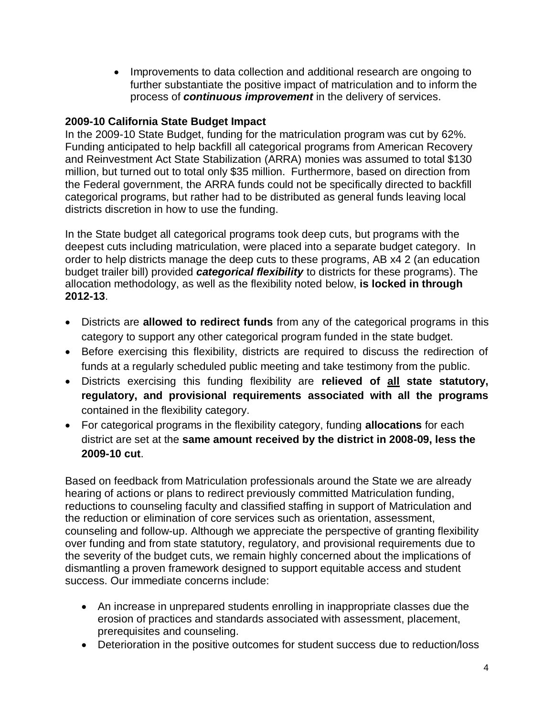• Improvements to data collection and additional research are ongoing to further substantiate the positive impact of matriculation and to inform the process of *continuous improvement* in the delivery of services.

# **2009-10 California State Budget Impact**

In the 2009-10 State Budget, funding for the matriculation program was cut by 62%. Funding anticipated to help backfill all categorical programs from American Recovery and Reinvestment Act State Stabilization (ARRA) monies was assumed to total \$130 million, but turned out to total only \$35 million. Furthermore, based on direction from the Federal government, the ARRA funds could not be specifically directed to backfill categorical programs, but rather had to be distributed as general funds leaving local districts discretion in how to use the funding.

In the State budget all categorical programs took deep cuts, but programs with the deepest cuts including matriculation, were placed into a separate budget category. In order to help districts manage the deep cuts to these programs, AB x4 2 (an education budget trailer bill) provided *categorical flexibility* to districts for these programs). The allocation methodology, as well as the flexibility noted below, **is locked in through 2012-13**.

- Districts are **allowed to redirect funds** from any of the categorical programs in this category to support any other categorical program funded in the state budget.
- Before exercising this flexibility, districts are required to discuss the redirection of funds at a regularly scheduled public meeting and take testimony from the public.
- Districts exercising this funding flexibility are **relieved of all state statutory, regulatory, and provisional requirements associated with all the programs** contained in the flexibility category.
- For categorical programs in the flexibility category, funding **allocations** for each district are set at the **same amount received by the district in 2008-09, less the 2009-10 cut**.

Based on feedback from Matriculation professionals around the State we are already hearing of actions or plans to redirect previously committed Matriculation funding, reductions to counseling faculty and classified staffing in support of Matriculation and the reduction or elimination of core services such as orientation, assessment, counseling and follow-up. Although we appreciate the perspective of granting flexibility over funding and from state statutory, regulatory, and provisional requirements due to the severity of the budget cuts, we remain highly concerned about the implications of dismantling a proven framework designed to support equitable access and student success. Our immediate concerns include:

- An increase in unprepared students enrolling in inappropriate classes due the erosion of practices and standards associated with assessment, placement, prerequisites and counseling.
- Deterioration in the positive outcomes for student success due to reduction/loss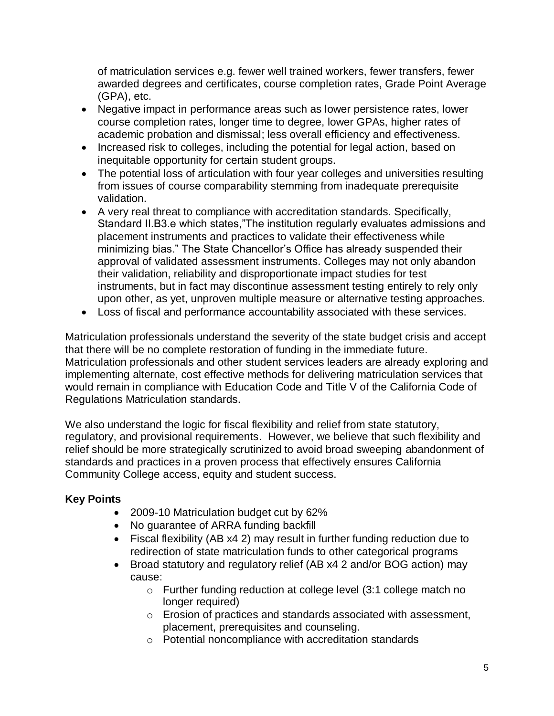of matriculation services e.g. fewer well trained workers, fewer transfers, fewer awarded degrees and certificates, course completion rates, Grade Point Average (GPA), etc.

- Negative impact in performance areas such as lower persistence rates, lower course completion rates, longer time to degree, lower GPAs, higher rates of academic probation and dismissal; less overall efficiency and effectiveness.
- Increased risk to colleges, including the potential for legal action, based on inequitable opportunity for certain student groups.
- The potential loss of articulation with four year colleges and universities resulting from issues of course comparability stemming from inadequate prerequisite validation.
- A very real threat to compliance with accreditation standards. Specifically, Standard II.B3.e which states,"The institution regularly evaluates admissions and placement instruments and practices to validate their effectiveness while minimizing bias." The State Chancellor's Office has already suspended their approval of validated assessment instruments. Colleges may not only abandon their validation, reliability and disproportionate impact studies for test instruments, but in fact may discontinue assessment testing entirely to rely only upon other, as yet, unproven multiple measure or alternative testing approaches.
- Loss of fiscal and performance accountability associated with these services.

Matriculation professionals understand the severity of the state budget crisis and accept that there will be no complete restoration of funding in the immediate future. Matriculation professionals and other student services leaders are already exploring and implementing alternate, cost effective methods for delivering matriculation services that would remain in compliance with Education Code and Title V of the California Code of Regulations Matriculation standards.

We also understand the logic for fiscal flexibility and relief from state statutory, regulatory, and provisional requirements. However, we believe that such flexibility and relief should be more strategically scrutinized to avoid broad sweeping abandonment of standards and practices in a proven process that effectively ensures California Community College access, equity and student success.

# **Key Points**

- 2009-10 Matriculation budget cut by 62%
- No guarantee of ARRA funding backfill
- Fiscal flexibility (AB x4 2) may result in further funding reduction due to redirection of state matriculation funds to other categorical programs
- Broad statutory and regulatory relief (AB x4 2 and/or BOG action) may cause:
	- o Further funding reduction at college level (3:1 college match no longer required)
	- o Erosion of practices and standards associated with assessment, placement, prerequisites and counseling.
	- o Potential noncompliance with accreditation standards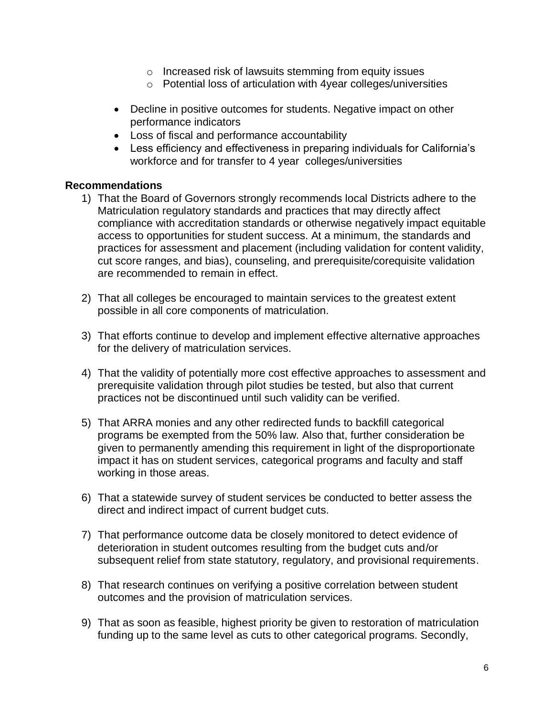- o Increased risk of lawsuits stemming from equity issues
- o Potential loss of articulation with 4year colleges/universities
- Decline in positive outcomes for students. Negative impact on other performance indicators
- Loss of fiscal and performance accountability
- Less efficiency and effectiveness in preparing individuals for California's workforce and for transfer to 4 year colleges/universities

## **Recommendations**

- 1) That the Board of Governors strongly recommends local Districts adhere to the Matriculation regulatory standards and practices that may directly affect compliance with accreditation standards or otherwise negatively impact equitable access to opportunities for student success. At a minimum, the standards and practices for assessment and placement (including validation for content validity, cut score ranges, and bias), counseling, and prerequisite/corequisite validation are recommended to remain in effect.
- 2) That all colleges be encouraged to maintain services to the greatest extent possible in all core components of matriculation.
- 3) That efforts continue to develop and implement effective alternative approaches for the delivery of matriculation services.
- 4) That the validity of potentially more cost effective approaches to assessment and prerequisite validation through pilot studies be tested, but also that current practices not be discontinued until such validity can be verified.
- 5) That ARRA monies and any other redirected funds to backfill categorical programs be exempted from the 50% law. Also that, further consideration be given to permanently amending this requirement in light of the disproportionate impact it has on student services, categorical programs and faculty and staff working in those areas.
- 6) That a statewide survey of student services be conducted to better assess the direct and indirect impact of current budget cuts.
- 7) That performance outcome data be closely monitored to detect evidence of deterioration in student outcomes resulting from the budget cuts and/or subsequent relief from state statutory, regulatory, and provisional requirements.
- 8) That research continues on verifying a positive correlation between student outcomes and the provision of matriculation services.
- 9) That as soon as feasible, highest priority be given to restoration of matriculation funding up to the same level as cuts to other categorical programs. Secondly,